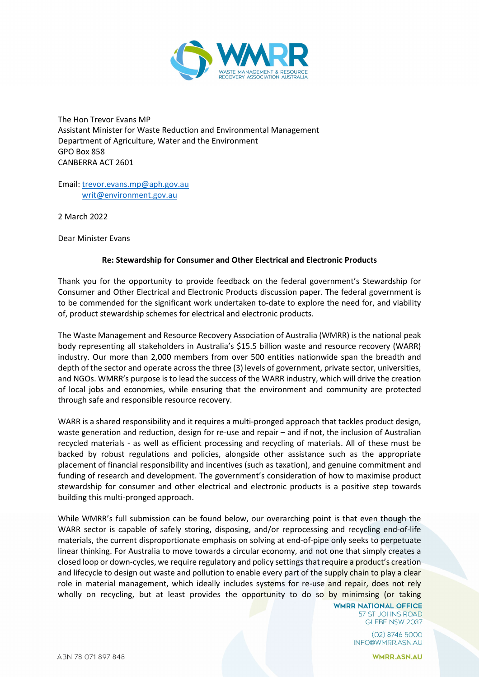

The Hon Trevor Evans MP Assistant Minister for Waste Reduction and Environmental Management Department of Agriculture, Water and the Environment GPO Box 858 CANBERRA ACT 2601

Email: [trevor.evans.mp@aph.gov.au](mailto:trevor.evans.mp@aph.gov.au) [writ@environment.gov.au](mailto:writ@environment.gov.au)

2 March 2022

Dear Minister Evans

### **Re: Stewardship for Consumer and Other Electrical and Electronic Products**

Thank you for the opportunity to provide feedback on the federal government's Stewardship for Consumer and Other Electrical and Electronic Products discussion paper. The federal government is to be commended for the significant work undertaken to-date to explore the need for, and viability of, product stewardship schemes for electrical and electronic products.

The Waste Management and Resource Recovery Association of Australia (WMRR) is the national peak body representing all stakeholders in Australia's \$15.5 billion waste and resource recovery (WARR) industry. Our more than 2,000 members from over 500 entities nationwide span the breadth and depth of the sector and operate across the three (3) levels of government, private sector, universities, and NGOs. WMRR's purpose is to lead the success of the WARR industry, which will drive the creation of local jobs and economies, while ensuring that the environment and community are protected through safe and responsible resource recovery.

WARR is a shared responsibility and it requires a multi-pronged approach that tackles product design, waste generation and reduction, design for re-use and repair – and if not, the inclusion of Australian recycled materials - as well as efficient processing and recycling of materials. All of these must be backed by robust regulations and policies, alongside other assistance such as the appropriate placement of financial responsibility and incentives (such as taxation), and genuine commitment and funding of research and development. The government's consideration of how to maximise product stewardship for consumer and other electrical and electronic products is a positive step towards building this multi-pronged approach.

While WMRR's full submission can be found below, our overarching point is that even though the WARR sector is capable of safely storing, disposing, and/or reprocessing and recycling end-of-life materials, the current disproportionate emphasis on solving at end-of-pipe only seeks to perpetuate linear thinking. For Australia to move towards a circular economy, and not one that simply creates a closed loop or down-cycles, we require regulatory and policy settings that require a product's creation and lifecycle to design out waste and pollution to enable every part of the supply chain to play a clear role in material management, which ideally includes systems for re-use and repair, does not rely wholly on recycling, but at least provides the opportunity to do so by minimsing (or taking

**WMRR NATIONAL OFFICE** 57 ST JOHNS ROAD GLEBE NSW 2037

> $(02)$  8746 5000 INFO@WMRR.ASN.AU

> > **WMRR.ASN.AU**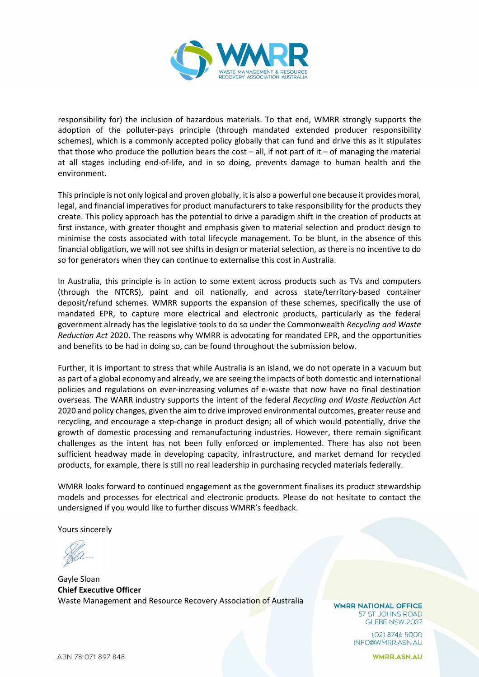

responsibility for) the inclusion of hazardous materials. To that end, WMRR strongly supports the adoption of the polluter-pays principle (through mandated extended producer responsibility schemes), which is a commonly accepted policy globally that can fund and drive this as it stipulates that those who produce the pollution bears the cost – all, if not part of it – of managing the material at all stages including end-of-life, and in so doing, prevents damage to human health and the environment.

This principle is not only logical and proven globally, it is also a powerful one because it provides moral, legal, and financial imperatives for product manufacturers to take responsibility for the products they create. This policy approach has the potential to drive a paradigm shift in the creation of products at first instance, with greater thought and emphasis given to material selection and product design to minimise the costs associated with total lifecycle management. To be blunt, in the absence of this financial obligation, we will not see shifts in design or material selection, as there is no incentive to do so for generators when they can continue to externalise this cost in Australia.

In Australia, this principle is in action to some extent across products such as TVs and computers (through the NTCRS), paint and oil nationally, and across state/territory-based container deposit/refund schemes. WMRR supports the expansion of these schemes, specifically the use of mandated EPR, to capture more electrical and electronic products, particularly as the federal government already has the legislative tools to do so under the Commonwealth *Recycling and Waste Reduction Act* 2020. The reasons why WMRR is advocating for mandated EPR, and the opportunities and benefits to be had in doing so, can be found throughout the submission below.

Further, it is important to stress that while Australia is an island, we do not operate in a vacuum but as part of a global economy and already, we are seeing the impacts of both domestic and international policies and regulations on ever-increasing volumes of e-waste that now have no final destination overseas. The WARR industry supports the intent of the federal *Recycling and Waste Reduction Act* 2020 and policy changes, given the aim to drive improved environmental outcomes, greater reuse and recycling, and encourage a step-change in product design; all of which would potentially, drive the growth of domestic processing and remanufacturing industries. However, there remain significant challenges as the intent has not been fully enforced or implemented. There has also not been sufficient headway made in developing capacity, infrastructure, and market demand for recycled products, for example, there is still no real leadership in purchasing recycled materials federally.

WMRR looks forward to continued engagement as the government finalises its product stewardship models and processes for electrical and electronic products. Please do not hesitate to contact the undersigned if you would like to further discuss WMRR's feedback.

Yours sincerely

Gayle Sloan **Chief Executive Officer** Waste Management and Resource Recovery Association of Australia

**WMRR NATIONAL OFFICE** 57 ST JOHNS ROAD GLEBE NSW 2037

> $(02)$  8746 5000 INFO@WMRR.ASN.AU

> > **WMRR.ASN.AU**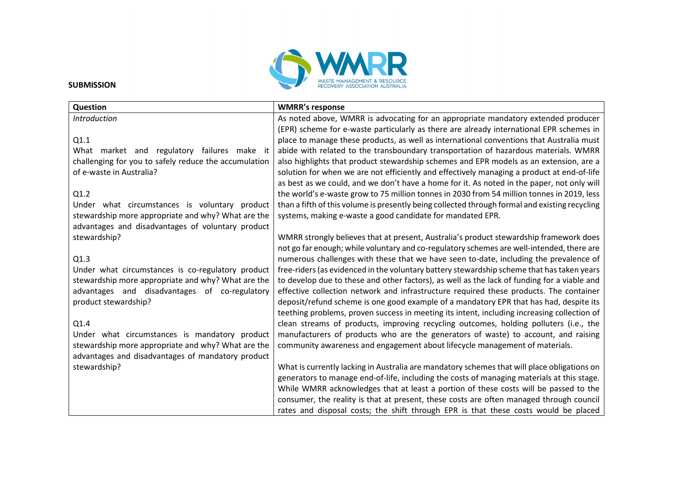

#### **SUBMISSION**

| Question                                              | <b>WMRR's response</b>                                                                         |
|-------------------------------------------------------|------------------------------------------------------------------------------------------------|
| <b>Introduction</b>                                   | As noted above, WMRR is advocating for an appropriate mandatory extended producer              |
|                                                       | (EPR) scheme for e-waste particularly as there are already international EPR schemes in        |
| Q1.1                                                  | place to manage these products, as well as international conventions that Australia must       |
| What market and regulatory failures make it           | abide with related to the transboundary transportation of hazardous materials. WMRR            |
| challenging for you to safely reduce the accumulation | also highlights that product stewardship schemes and EPR models as an extension, are a         |
| of e-waste in Australia?                              | solution for when we are not efficiently and effectively managing a product at end-of-life     |
|                                                       | as best as we could, and we don't have a home for it. As noted in the paper, not only will     |
| Q1.2                                                  | the world's e-waste grow to 75 million tonnes in 2030 from 54 million tonnes in 2019, less     |
| Under what circumstances is voluntary product         | than a fifth of this volume is presently being collected through formal and existing recycling |
| stewardship more appropriate and why? What are the    | systems, making e-waste a good candidate for mandated EPR.                                     |
| advantages and disadvantages of voluntary product     |                                                                                                |
| stewardship?                                          | WMRR strongly believes that at present, Australia's product stewardship framework does         |
|                                                       | not go far enough; while voluntary and co-regulatory schemes are well-intended, there are      |
| Q1.3                                                  | numerous challenges with these that we have seen to-date, including the prevalence of          |
| Under what circumstances is co-regulatory product     | free-riders (as evidenced in the voluntary battery stewardship scheme that has taken years     |
| stewardship more appropriate and why? What are the    | to develop due to these and other factors), as well as the lack of funding for a viable and    |
| advantages and disadvantages of co-regulatory         | effective collection network and infrastructure required these products. The container         |
| product stewardship?                                  | deposit/refund scheme is one good example of a mandatory EPR that has had, despite its         |
|                                                       | teething problems, proven success in meeting its intent, including increasing collection of    |
| Q1.4                                                  | clean streams of products, improving recycling outcomes, holding polluters (i.e., the          |
| Under what circumstances is mandatory product         | manufacturers of products who are the generators of waste) to account, and raising             |
| stewardship more appropriate and why? What are the    | community awareness and engagement about lifecycle management of materials.                    |
| advantages and disadvantages of mandatory product     |                                                                                                |
| stewardship?                                          | What is currently lacking in Australia are mandatory schemes that will place obligations on    |
|                                                       | generators to manage end-of-life, including the costs of managing materials at this stage.     |
|                                                       | While WMRR acknowledges that at least a portion of these costs will be passed to the           |
|                                                       | consumer, the reality is that at present, these costs are often managed through council        |
|                                                       | rates and disposal costs; the shift through EPR is that these costs would be placed            |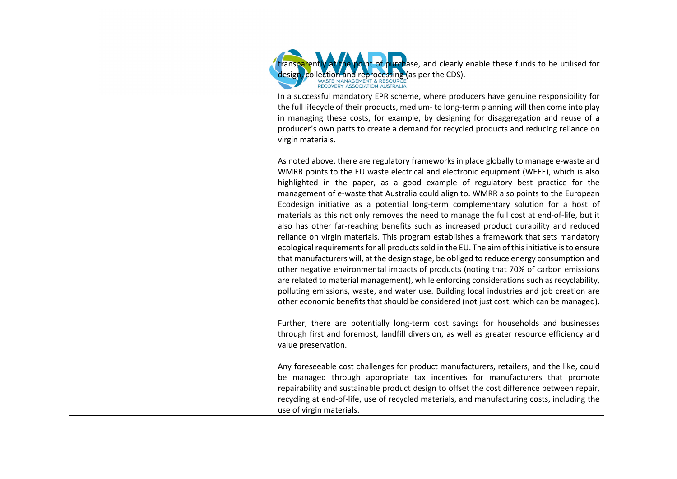

transparently at the point of purchase, and clearly enable these funds to be utilised for

In a successful mandatory EPR scheme, where producers have genuine responsibility for the full lifecycle of their products, medium- to long-term planning will then come into play in managing these costs, for example, by designing for disaggregation and reuse of a producer's own parts to create a demand for recycled products and reducing reliance on virgin materials.

As noted above, there are regulatory frameworks in place globally to manage e-waste and WMRR points to the EU waste electrical and electronic equipment (WEEE), which is also highlighted in the paper, as a good example of regulatory best practice for the management of e-waste that Australia could align to. WMRR also points to the European Ecodesign initiative as a potential long-term complementary solution for a host of materials as this not only removes the need to manage the full cost at end-of-life, but it also has other far-reaching benefits such as increased product durability and reduced reliance on virgin materials. This program establishes a framework that sets mandatory ecological requirements for all products sold in the EU. The aim of this initiative is to ensure that manufacturers will, at the design stage, be obliged to reduce energy consumption and other negative environmental impacts of products (noting that 70% of carbon emissions are related to material management), while enforcing considerations such as recyclability, polluting emissions, waste, and water use. Building local industries and job creation are other economic benefits that should be considered (not just cost, which can be managed).

Further, there are potentially long-term cost savings for households and businesses through first and foremost, landfill diversion, as well as greater resource efficiency and value preservation.

Any foreseeable cost challenges for product manufacturers, retailers, and the like, could be managed through appropriate tax incentives for manufacturers that promote repairability and sustainable product design to offset the cost difference between repair, recycling at end-of-life, use of recycled materials, and manufacturing costs, including the use of virgin materials.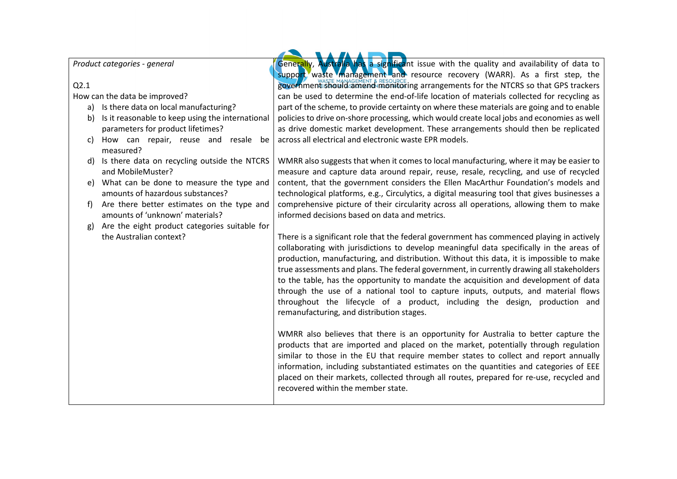*Product categories - general*

## Q2.1

How can the data be improved?

- a) Is there data on local manufacturing?
- b) Is it reasonable to keep using the international parameters for product lifetimes?
- c) How can repair, reuse and resale be measured?
- d) Is there data on recycling outside the NTCRS and MobileMuster?
- e) What can be done to measure the type and amounts of hazardous substances?
- f) Are there better estimates on the type and amounts of 'unknown' materials?
- g) Are the eight product categories suitable for the Australian context?

Generally, Australia has a significant issue with the quality and availability of data to support waste management and resource recovery (WARR). As a first step, the government should amend monitoring arrangements for the NTCRS so that GPS trackers can be used to determine the end-of-life location of materials collected for recycling as part of the scheme, to provide certainty on where these materials are going and to enable policies to drive on-shore processing, which would create local jobs and economies as well as drive domestic market development. These arrangements should then be replicated across all electrical and electronic waste EPR models.

WMRR also suggests that when it comes to local manufacturing, where it may be easier to measure and capture data around repair, reuse, resale, recycling, and use of recycled content, that the government considers the Ellen MacArthur Foundation's models and technological platforms, e.g., Circulytics, a digital measuring tool that gives businesses a comprehensive picture of their circularity across all operations, allowing them to make informed decisions based on data and metrics.

There is a significant role that the federal government has commenced playing in actively collaborating with jurisdictions to develop meaningful data specifically in the areas of production, manufacturing, and distribution. Without this data, it is impossible to make true assessments and plans. The federal government, in currently drawing all stakeholders to the table, has the opportunity to mandate the acquisition and development of data through the use of a national tool to capture inputs, outputs, and material flows throughout the lifecycle of a product, including the design, production and remanufacturing, and distribution stages.

WMRR also believes that there is an opportunity for Australia to better capture the products that are imported and placed on the market, potentially through regulation similar to those in the EU that require member states to collect and report annually information, including substantiated estimates on the quantities and categories of EEE placed on their markets, collected through all routes, prepared for re-use, recycled and recovered within the member state.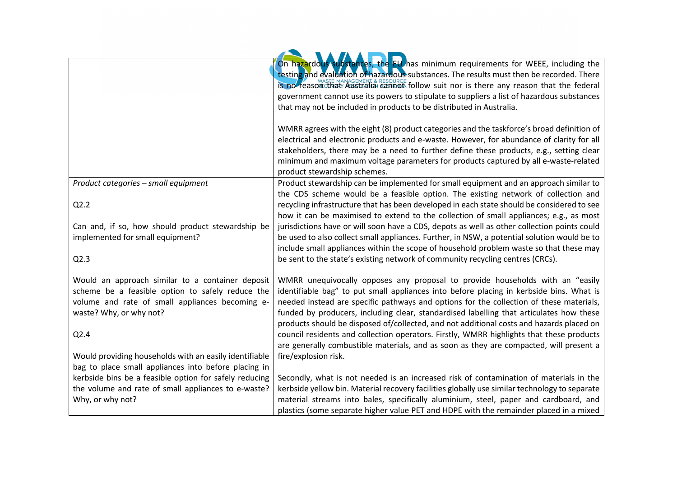|                                                                            | On hazardous substances, the EU has minimum requirements for WEEE, including the<br>testing and evaluation of hazardous substances. The results must then be recorded. There<br>is no reason that Australia cannot follow suit nor is there any reason that the federal |
|----------------------------------------------------------------------------|-------------------------------------------------------------------------------------------------------------------------------------------------------------------------------------------------------------------------------------------------------------------------|
|                                                                            | government cannot use its powers to stipulate to suppliers a list of hazardous substances                                                                                                                                                                               |
|                                                                            | that may not be included in products to be distributed in Australia.                                                                                                                                                                                                    |
|                                                                            |                                                                                                                                                                                                                                                                         |
|                                                                            | WMRR agrees with the eight (8) product categories and the taskforce's broad definition of                                                                                                                                                                               |
|                                                                            | electrical and electronic products and e-waste. However, for abundance of clarity for all                                                                                                                                                                               |
|                                                                            | stakeholders, there may be a need to further define these products, e.g., setting clear                                                                                                                                                                                 |
|                                                                            | minimum and maximum voltage parameters for products captured by all e-waste-related                                                                                                                                                                                     |
|                                                                            | product stewardship schemes.                                                                                                                                                                                                                                            |
| Product categories - small equipment                                       | Product stewardship can be implemented for small equipment and an approach similar to                                                                                                                                                                                   |
|                                                                            | the CDS scheme would be a feasible option. The existing network of collection and                                                                                                                                                                                       |
| Q2.2                                                                       | recycling infrastructure that has been developed in each state should be considered to see                                                                                                                                                                              |
|                                                                            | how it can be maximised to extend to the collection of small appliances; e.g., as most                                                                                                                                                                                  |
| Can and, if so, how should product stewardship be                          | jurisdictions have or will soon have a CDS, depots as well as other collection points could                                                                                                                                                                             |
| implemented for small equipment?                                           | be used to also collect small appliances. Further, in NSW, a potential solution would be to                                                                                                                                                                             |
|                                                                            | include small appliances within the scope of household problem waste so that these may                                                                                                                                                                                  |
| Q2.3                                                                       | be sent to the state's existing network of community recycling centres (CRCs).                                                                                                                                                                                          |
|                                                                            |                                                                                                                                                                                                                                                                         |
| Would an approach similar to a container deposit                           | WMRR unequivocally opposes any proposal to provide households with an "easily                                                                                                                                                                                           |
| scheme be a feasible option to safely reduce the                           | identifiable bag" to put small appliances into before placing in kerbside bins. What is                                                                                                                                                                                 |
| volume and rate of small appliances becoming e-<br>waste? Why, or why not? | needed instead are specific pathways and options for the collection of these materials,<br>funded by producers, including clear, standardised labelling that articulates how these                                                                                      |
|                                                                            | products should be disposed of/collected, and not additional costs and hazards placed on                                                                                                                                                                                |
| Q2.4                                                                       | council residents and collection operators. Firstly, WMRR highlights that these products                                                                                                                                                                                |
|                                                                            | are generally combustible materials, and as soon as they are compacted, will present a                                                                                                                                                                                  |
| Would providing households with an easily identifiable                     | fire/explosion risk.                                                                                                                                                                                                                                                    |
| bag to place small appliances into before placing in                       |                                                                                                                                                                                                                                                                         |
| kerbside bins be a feasible option for safely reducing                     | Secondly, what is not needed is an increased risk of contamination of materials in the                                                                                                                                                                                  |
| the volume and rate of small appliances to e-waste?                        | kerbside yellow bin. Material recovery facilities globally use similar technology to separate                                                                                                                                                                           |
| Why, or why not?                                                           | material streams into bales, specifically aluminium, steel, paper and cardboard, and                                                                                                                                                                                    |
|                                                                            | plastics (some separate higher value PET and HDPE with the remainder placed in a mixed                                                                                                                                                                                  |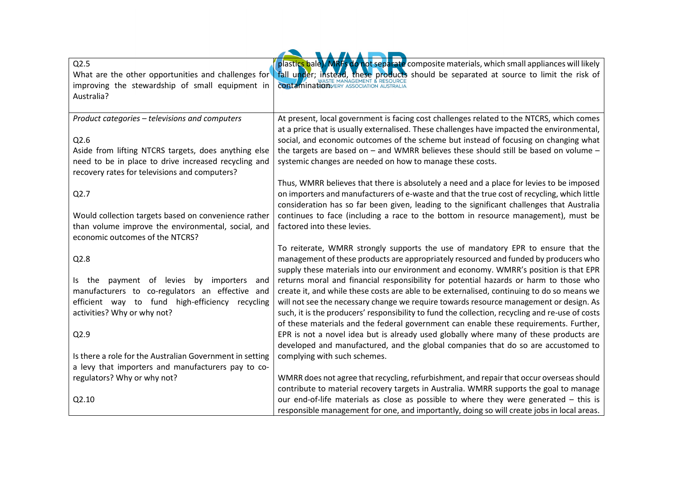| Q2.5                                                     | plastics bale). MRFs do not separate composite materials, which small appliances will likely    |
|----------------------------------------------------------|-------------------------------------------------------------------------------------------------|
| What are the other opportunities and challenges for      | Tall under; instead, these products should be separated at source to limit the risk of          |
| improving the stewardship of small equipment in          | <b>contamination</b> VERY ASSOCIATION AUSTRALIA                                                 |
| Australia?                                               |                                                                                                 |
|                                                          |                                                                                                 |
| Product categories - televisions and computers           | At present, local government is facing cost challenges related to the NTCRS, which comes        |
|                                                          | at a price that is usually externalised. These challenges have impacted the environmental,      |
| Q2.6                                                     | social, and economic outcomes of the scheme but instead of focusing on changing what            |
| Aside from lifting NTCRS targets, does anything else     | the targets are based on $-$ and WMRR believes these should still be based on volume $-$        |
| need to be in place to drive increased recycling and     | systemic changes are needed on how to manage these costs.                                       |
| recovery rates for televisions and computers?            |                                                                                                 |
|                                                          | Thus, WMRR believes that there is absolutely a need and a place for levies to be imposed        |
| Q2.7                                                     | on importers and manufacturers of e-waste and that the true cost of recycling, which little     |
|                                                          | consideration has so far been given, leading to the significant challenges that Australia       |
|                                                          |                                                                                                 |
| Would collection targets based on convenience rather     | continues to face (including a race to the bottom in resource management), must be              |
| than volume improve the environmental, social, and       | factored into these levies.                                                                     |
| economic outcomes of the NTCRS?                          |                                                                                                 |
|                                                          | To reiterate, WMRR strongly supports the use of mandatory EPR to ensure that the                |
| Q2.8                                                     | management of these products are appropriately resourced and funded by producers who            |
|                                                          | supply these materials into our environment and economy. WMRR's position is that EPR            |
| payment of levies by importers<br>ls the<br>and          | returns moral and financial responsibility for potential hazards or harm to those who           |
| manufacturers to co-regulators an effective and          | create it, and while these costs are able to be externalised, continuing to do so means we      |
| efficient way to fund high-efficiency recycling          | will not see the necessary change we require towards resource management or design. As          |
| activities? Why or why not?                              | such, it is the producers' responsibility to fund the collection, recycling and re-use of costs |
|                                                          | of these materials and the federal government can enable these requirements. Further,           |
| Q2.9                                                     | EPR is not a novel idea but is already used globally where many of these products are           |
|                                                          | developed and manufactured, and the global companies that do so are accustomed to               |
| Is there a role for the Australian Government in setting | complying with such schemes.                                                                    |
| a levy that importers and manufacturers pay to co-       |                                                                                                 |
| regulators? Why or why not?                              | WMRR does not agree that recycling, refurbishment, and repair that occur overseas should        |
|                                                          | contribute to material recovery targets in Australia. WMRR supports the goal to manage          |
| Q2.10                                                    | our end-of-life materials as close as possible to where they were generated - this is           |
|                                                          | responsible management for one, and importantly, doing so will create jobs in local areas.      |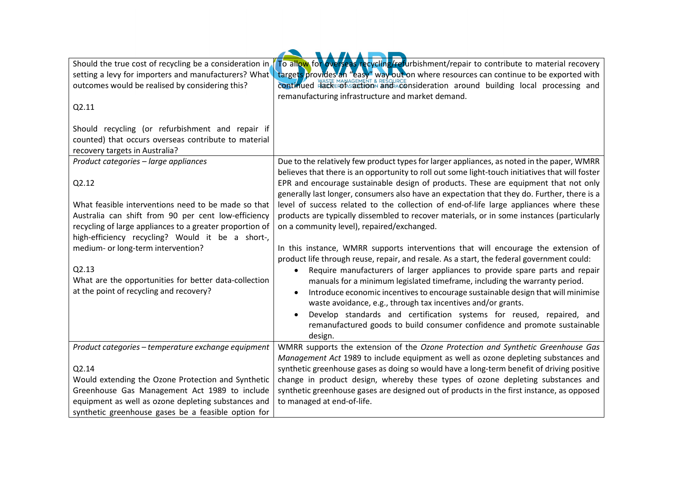| Should the true cost of recycling be a consideration in<br>setting a levy for importers and manufacturers? What<br>outcomes would be realised by considering this?                                                         | To allow for overseas recycling/refurbishment/repair to contribute to material recovery<br>targets provides an "easy" way out on where resources can continue to be exported with<br>continued HackErof saction and aconsideration around building local processing and<br>remanufacturing infrastructure and market demand.      |
|----------------------------------------------------------------------------------------------------------------------------------------------------------------------------------------------------------------------------|-----------------------------------------------------------------------------------------------------------------------------------------------------------------------------------------------------------------------------------------------------------------------------------------------------------------------------------|
| Q2.11                                                                                                                                                                                                                      |                                                                                                                                                                                                                                                                                                                                   |
| Should recycling (or refurbishment and repair if<br>counted) that occurs overseas contribute to material<br>recovery targets in Australia?                                                                                 |                                                                                                                                                                                                                                                                                                                                   |
| Product categories - large appliances<br>Q2.12                                                                                                                                                                             | Due to the relatively few product types for larger appliances, as noted in the paper, WMRR<br>believes that there is an opportunity to roll out some light-touch initiatives that will foster<br>EPR and encourage sustainable design of products. These are equipment that not only                                              |
| What feasible interventions need to be made so that<br>Australia can shift from 90 per cent low-efficiency<br>recycling of large appliances to a greater proportion of<br>high-efficiency recycling? Would it be a short-, | generally last longer, consumers also have an expectation that they do. Further, there is a<br>level of success related to the collection of end-of-life large appliances where these<br>products are typically dissembled to recover materials, or in some instances (particularly<br>on a community level), repaired/exchanged. |
| medium- or long-term intervention?                                                                                                                                                                                         | In this instance, WMRR supports interventions that will encourage the extension of<br>product life through reuse, repair, and resale. As a start, the federal government could:                                                                                                                                                   |
| Q2.13<br>What are the opportunities for better data-collection                                                                                                                                                             | Require manufacturers of larger appliances to provide spare parts and repair<br>$\bullet$<br>manuals for a minimum legislated timeframe, including the warranty period.                                                                                                                                                           |
| at the point of recycling and recovery?                                                                                                                                                                                    | Introduce economic incentives to encourage sustainable design that will minimise<br>waste avoidance, e.g., through tax incentives and/or grants.                                                                                                                                                                                  |
|                                                                                                                                                                                                                            | Develop standards and certification systems for reused, repaired, and<br>remanufactured goods to build consumer confidence and promote sustainable<br>design.                                                                                                                                                                     |
| Product categories - temperature exchange equipment                                                                                                                                                                        | WMRR supports the extension of the Ozone Protection and Synthetic Greenhouse Gas<br>Management Act 1989 to include equipment as well as ozone depleting substances and                                                                                                                                                            |
| Q2.14                                                                                                                                                                                                                      | synthetic greenhouse gases as doing so would have a long-term benefit of driving positive                                                                                                                                                                                                                                         |
| Would extending the Ozone Protection and Synthetic                                                                                                                                                                         | change in product design, whereby these types of ozone depleting substances and                                                                                                                                                                                                                                                   |
| Greenhouse Gas Management Act 1989 to include                                                                                                                                                                              | synthetic greenhouse gases are designed out of products in the first instance, as opposed                                                                                                                                                                                                                                         |
| equipment as well as ozone depleting substances and                                                                                                                                                                        | to managed at end-of-life.                                                                                                                                                                                                                                                                                                        |
| synthetic greenhouse gases be a feasible option for                                                                                                                                                                        |                                                                                                                                                                                                                                                                                                                                   |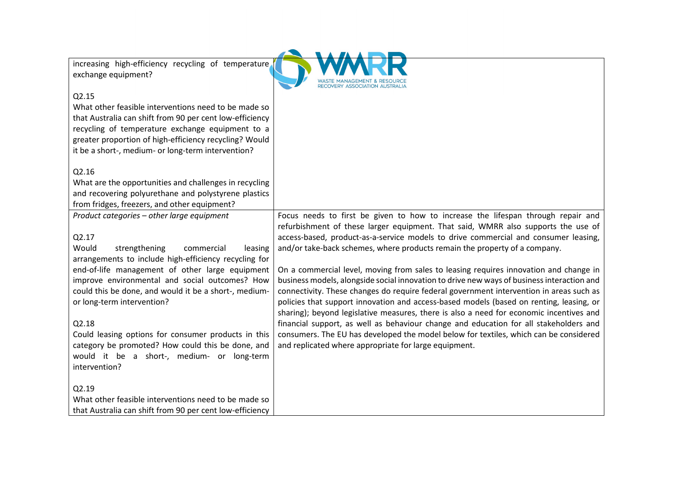increasing high-efficiency recycling of temperature exchange equipment?



### Q2.15

What other feasible interventions need to be made so that Australia can shift from 90 per cent low-efficiency recycling of temperature exchange equipment to a greater proportion of high-efficiency recycling? Would it be a short-, medium- or long-term intervention?

## Q2.16

What are the opportunities and challenges in recycling and recovering polyurethane and polystyrene plastics from fridges, freezers, and other equipment?

*Product categories – other large equipment* 

## Q2.17

Would strengthening commercial leasing arrangements to include high-efficiency recycling for end-of-life management of other large equipment improve environmental and social outcomes? How could this be done, and would it be a short-, mediumor long-term intervention?

#### Q2.18

Could leasing options for consumer products in this category be promoted? How could this be done, and would it be a short-, medium- or long-term intervention?

#### Q2.19

What other feasible interventions need to be made so that Australia can shift from 90 per cent low-efficiency

refurbishment of these larger equipment. That said, WMRR also supports the use of access-based, product-as-a-service models to drive commercial and consumer leasing, and/or take-back schemes, where products remain the property of a company.

Focus needs to first be given to how to increase the lifespan through repair and

On a commercial level, moving from sales to leasing requires innovation and change in business models, alongside social innovation to drive new ways of business interaction and connectivity. These changes do require federal government intervention in areas such as policies that support innovation and access-based models (based on renting, leasing, or sharing); beyond legislative measures, there is also a need for economic incentives and financial support, as well as behaviour change and education for all stakeholders and consumers. The EU has developed the model below for textiles, which can be considered and replicated where appropriate for large equipment.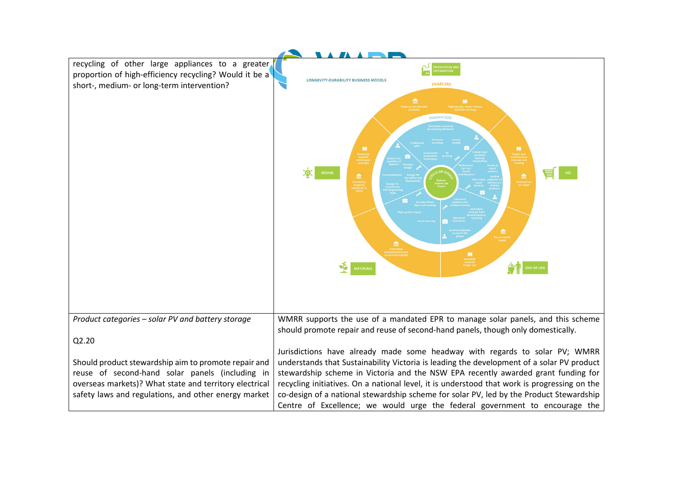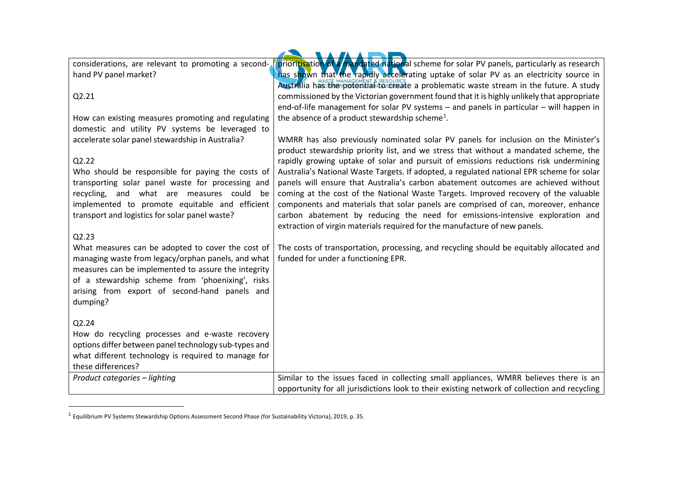considerations, are relevant to promoting a secondhand PV panel market?

How can existing measures promoting and regulating

accelerate solar panel stewardship in Australia?

transport and logistics for solar panel waste?

<span id="page-10-0"></span>prioritisation of a mandated national scheme for solar PV panels, particularly as research has shown that the rapidly accelerating uptake of solar PV as an electricity source in Australia has the potential resource a problematic waste stream in the future. A study commissioned by the Victorian government found that it is highly unlikely that appropriate end-of-life management for solar PV systems – and panels in particular – will happen in the absence of a product stewardship scheme<sup>[1](#page-10-0)</sup>.

domestic and utility PV systems be leveraged to Who should be responsible for paying the costs of transporting solar panel waste for processing and recycling, and what are measures could be implemented to promote equitable and efficient WMRR has also previously nominated solar PV panels for inclusion on the Minister's product stewardship priority list, and we stress that without a mandated scheme, the rapidly growing uptake of solar and pursuit of emissions reductions risk undermining Australia's National Waste Targets. If adopted, a regulated national EPR scheme for solar panels will ensure that Australia's carbon abatement outcomes are achieved without coming at the cost of the National Waste Targets. Improved recovery of the valuable components and materials that solar panels are comprised of can, moreover, enhance carbon abatement by reducing the need for emissions-intensive exploration and extraction of virgin materials required for the manufacture of new panels.

## The costs of transportation, processing, and recycling should be equitably allocated and funded for under a functioning EPR.

opportunity for all jurisdictions look to their existing network of collection and recycling

What measures can be adopted to cover the cost of managing waste from legacy/orphan panels, and what measures can be implemented to assure the integrity of a stewardship scheme from 'phoenixing', risks arising from export of second-hand panels and dumping?

# Q2.24

Q2.21

Q2.22

Q2.23

How do recycling processes and e-waste recovery options differ between panel technology sub-types and what different technology is required to manage for these differences? *Product categories – lighting* example and the issues faced in collecting small appliances, WMRR believes there is an

<sup>1</sup> Equilibrium PV Systems Stewardship Options Assessment Second Phase (for Sustainability Victoria), 2019, p. 35.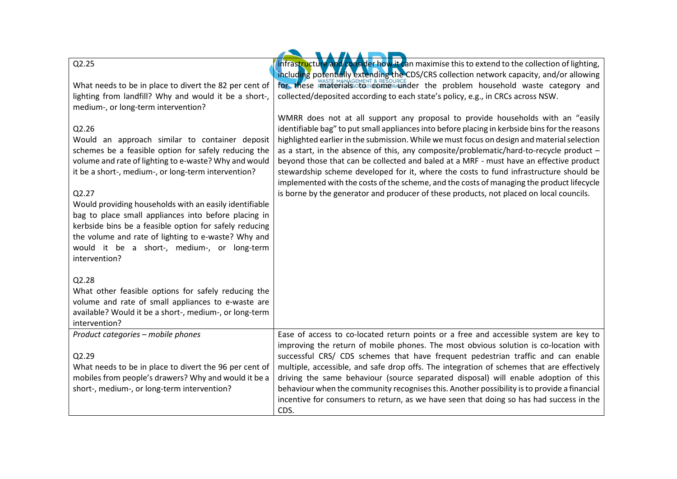| Q2.25                                                                                                                                                                                                                                                                                                                                                                                                                                                                                                                                       | infrastructure and consider how it can maximise this to extend to the collection of lighting,<br>including potentially extending the CDS/CRS collection network capacity, and/or allowing                                                                                                                                                                                                                                                                                                                                                                                                                                                                                                                                                              |
|---------------------------------------------------------------------------------------------------------------------------------------------------------------------------------------------------------------------------------------------------------------------------------------------------------------------------------------------------------------------------------------------------------------------------------------------------------------------------------------------------------------------------------------------|--------------------------------------------------------------------------------------------------------------------------------------------------------------------------------------------------------------------------------------------------------------------------------------------------------------------------------------------------------------------------------------------------------------------------------------------------------------------------------------------------------------------------------------------------------------------------------------------------------------------------------------------------------------------------------------------------------------------------------------------------------|
| What needs to be in place to divert the 82 per cent of                                                                                                                                                                                                                                                                                                                                                                                                                                                                                      | for these imaterials to comen-under the problem household waste category and                                                                                                                                                                                                                                                                                                                                                                                                                                                                                                                                                                                                                                                                           |
| lighting from landfill? Why and would it be a short-,<br>medium-, or long-term intervention?                                                                                                                                                                                                                                                                                                                                                                                                                                                | collected/deposited according to each state's policy, e.g., in CRCs across NSW.                                                                                                                                                                                                                                                                                                                                                                                                                                                                                                                                                                                                                                                                        |
| Q2.26<br>Would an approach similar to container deposit<br>schemes be a feasible option for safely reducing the<br>volume and rate of lighting to e-waste? Why and would<br>it be a short-, medium-, or long-term intervention?<br>Q2.27<br>Would providing households with an easily identifiable<br>bag to place small appliances into before placing in<br>kerbside bins be a feasible option for safely reducing<br>the volume and rate of lighting to e-waste? Why and<br>would it be a short-, medium-, or long-term<br>intervention? | WMRR does not at all support any proposal to provide households with an "easily<br>identifiable bag" to put small appliances into before placing in kerbside bins for the reasons<br>highlighted earlier in the submission. While we must focus on design and material selection<br>as a start, in the absence of this, any composite/problematic/hard-to-recycle product -<br>beyond those that can be collected and baled at a MRF - must have an effective product<br>stewardship scheme developed for it, where the costs to fund infrastructure should be<br>implemented with the costs of the scheme, and the costs of managing the product lifecycle<br>is borne by the generator and producer of these products, not placed on local councils. |
| Q2.28                                                                                                                                                                                                                                                                                                                                                                                                                                                                                                                                       |                                                                                                                                                                                                                                                                                                                                                                                                                                                                                                                                                                                                                                                                                                                                                        |
| What other feasible options for safely reducing the<br>volume and rate of small appliances to e-waste are<br>available? Would it be a short-, medium-, or long-term<br>intervention?                                                                                                                                                                                                                                                                                                                                                        |                                                                                                                                                                                                                                                                                                                                                                                                                                                                                                                                                                                                                                                                                                                                                        |
| Product categories - mobile phones<br>Q2.29                                                                                                                                                                                                                                                                                                                                                                                                                                                                                                 | Ease of access to co-located return points or a free and accessible system are key to<br>improving the return of mobile phones. The most obvious solution is co-location with<br>successful CRS/ CDS schemes that have frequent pedestrian traffic and can enable                                                                                                                                                                                                                                                                                                                                                                                                                                                                                      |
| What needs to be in place to divert the 96 per cent of<br>mobiles from people's drawers? Why and would it be a<br>short-, medium-, or long-term intervention?                                                                                                                                                                                                                                                                                                                                                                               | multiple, accessible, and safe drop offs. The integration of schemes that are effectively<br>driving the same behaviour (source separated disposal) will enable adoption of this<br>behaviour when the community recognises this. Another possibility is to provide a financial<br>incentive for consumers to return, as we have seen that doing so has had success in the<br>CDS.                                                                                                                                                                                                                                                                                                                                                                     |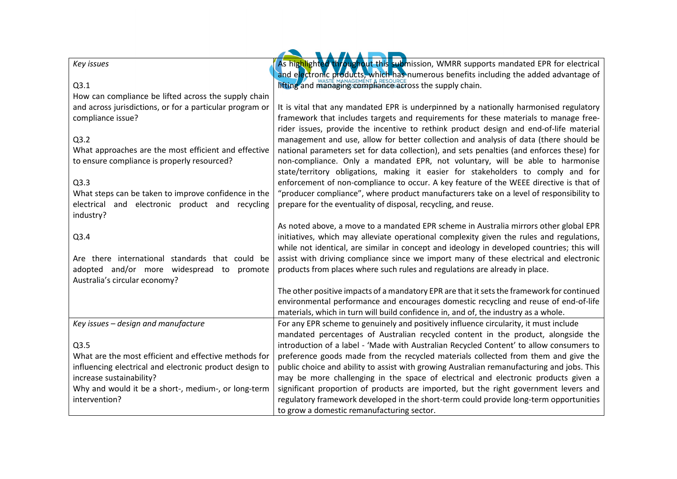| Key issues                                                                          | As highlighted throughout this submission, WMRR supports mandated EPR for electrical                                                                                             |
|-------------------------------------------------------------------------------------|----------------------------------------------------------------------------------------------------------------------------------------------------------------------------------|
|                                                                                     | and electronic products, which has numerous benefits including the added advantage of                                                                                            |
| Q3.1                                                                                | <b>lifting and managing compliance across the supply chain.</b>                                                                                                                  |
| How can compliance be lifted across the supply chain                                |                                                                                                                                                                                  |
| and across jurisdictions, or for a particular program or                            | It is vital that any mandated EPR is underpinned by a nationally harmonised regulatory                                                                                           |
| compliance issue?                                                                   | framework that includes targets and requirements for these materials to manage free-                                                                                             |
|                                                                                     | rider issues, provide the incentive to rethink product design and end-of-life material                                                                                           |
| Q3.2                                                                                | management and use, allow for better collection and analysis of data (there should be                                                                                            |
| What approaches are the most efficient and effective                                | national parameters set for data collection), and sets penalties (and enforces these) for                                                                                        |
| to ensure compliance is properly resourced?                                         | non-compliance. Only a mandated EPR, not voluntary, will be able to harmonise<br>state/territory obligations, making it easier for stakeholders to comply and for                |
| Q3.3                                                                                | enforcement of non-compliance to occur. A key feature of the WEEE directive is that of                                                                                           |
| What steps can be taken to improve confidence in the                                | "producer compliance", where product manufacturers take on a level of responsibility to                                                                                          |
| electrical and electronic product and recycling                                     | prepare for the eventuality of disposal, recycling, and reuse.                                                                                                                   |
| industry?                                                                           |                                                                                                                                                                                  |
|                                                                                     | As noted above, a move to a mandated EPR scheme in Australia mirrors other global EPR                                                                                            |
| Q3.4                                                                                | initiatives, which may alleviate operational complexity given the rules and regulations,                                                                                         |
|                                                                                     | while not identical, are similar in concept and ideology in developed countries; this will                                                                                       |
| Are there international standards that could be                                     | assist with driving compliance since we import many of these electrical and electronic                                                                                           |
| adopted and/or more widespread to promote                                           | products from places where such rules and regulations are already in place.                                                                                                      |
| Australia's circular economy?                                                       |                                                                                                                                                                                  |
|                                                                                     | The other positive impacts of a mandatory EPR are that it sets the framework for continued                                                                                       |
|                                                                                     | environmental performance and encourages domestic recycling and reuse of end-of-life                                                                                             |
|                                                                                     | materials, which in turn will build confidence in, and of, the industry as a whole.                                                                                              |
| Key issues - design and manufacture                                                 | For any EPR scheme to genuinely and positively influence circularity, it must include                                                                                            |
|                                                                                     | mandated percentages of Australian recycled content in the product, alongside the                                                                                                |
| Q3.5                                                                                | introduction of a label - 'Made with Australian Recycled Content' to allow consumers to                                                                                          |
| What are the most efficient and effective methods for                               | preference goods made from the recycled materials collected from them and give the                                                                                               |
| influencing electrical and electronic product design to<br>increase sustainability? | public choice and ability to assist with growing Australian remanufacturing and jobs. This<br>may be more challenging in the space of electrical and electronic products given a |
| Why and would it be a short-, medium-, or long-term                                 | significant proportion of products are imported, but the right government levers and                                                                                             |
| intervention?                                                                       | regulatory framework developed in the short-term could provide long-term opportunities                                                                                           |
|                                                                                     | to grow a domestic remanufacturing sector.                                                                                                                                       |
|                                                                                     |                                                                                                                                                                                  |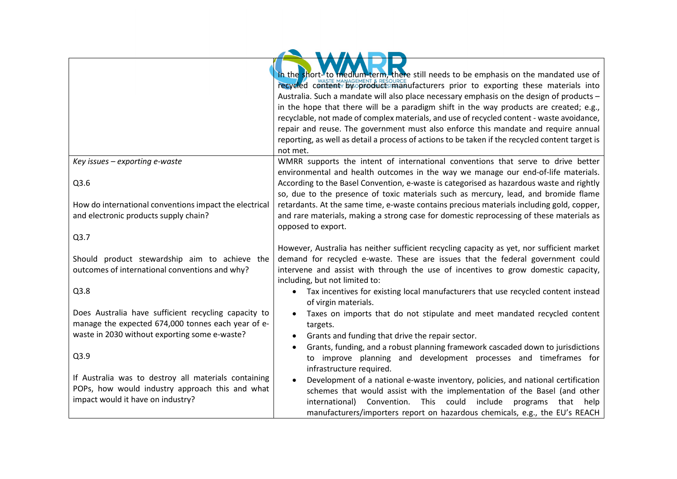|                                                        | In the short- to medium-term, there still needs to be emphasis on the mandated use of<br>recycled content <b>we products manufacturers</b> prior to exporting these materials into |
|--------------------------------------------------------|------------------------------------------------------------------------------------------------------------------------------------------------------------------------------------|
|                                                        | Australia. Such a mandate will also place necessary emphasis on the design of products -                                                                                           |
|                                                        | in the hope that there will be a paradigm shift in the way products are created; e.g.,                                                                                             |
|                                                        | recyclable, not made of complex materials, and use of recycled content - waste avoidance,                                                                                          |
|                                                        | repair and reuse. The government must also enforce this mandate and require annual                                                                                                 |
|                                                        | reporting, as well as detail a process of actions to be taken if the recycled content target is<br>not met.                                                                        |
| Key issues - exporting e-waste                         | WMRR supports the intent of international conventions that serve to drive better                                                                                                   |
|                                                        | environmental and health outcomes in the way we manage our end-of-life materials.                                                                                                  |
| Q3.6                                                   | According to the Basel Convention, e-waste is categorised as hazardous waste and rightly                                                                                           |
|                                                        | so, due to the presence of toxic materials such as mercury, lead, and bromide flame                                                                                                |
| How do international conventions impact the electrical | retardants. At the same time, e-waste contains precious materials including gold, copper,                                                                                          |
| and electronic products supply chain?                  | and rare materials, making a strong case for domestic reprocessing of these materials as                                                                                           |
|                                                        | opposed to export.                                                                                                                                                                 |
| Q3.7                                                   |                                                                                                                                                                                    |
|                                                        | However, Australia has neither sufficient recycling capacity as yet, nor sufficient market                                                                                         |
| Should product stewardship aim to achieve the          | demand for recycled e-waste. These are issues that the federal government could                                                                                                    |
| outcomes of international conventions and why?         | intervene and assist with through the use of incentives to grow domestic capacity,<br>including, but not limited to:                                                               |
| Q3.8                                                   | $\bullet$                                                                                                                                                                          |
|                                                        | Tax incentives for existing local manufacturers that use recycled content instead<br>of virgin materials.                                                                          |
| Does Australia have sufficient recycling capacity to   | Taxes on imports that do not stipulate and meet mandated recycled content                                                                                                          |
| manage the expected 674,000 tonnes each year of e-     | targets.                                                                                                                                                                           |
| waste in 2030 without exporting some e-waste?          | Grants and funding that drive the repair sector.<br>$\bullet$                                                                                                                      |
|                                                        | Grants, funding, and a robust planning framework cascaded down to jurisdictions<br>$\bullet$                                                                                       |
| Q3.9                                                   | to improve planning and development processes and timeframes for                                                                                                                   |
|                                                        | infrastructure required.                                                                                                                                                           |
| If Australia was to destroy all materials containing   | Development of a national e-waste inventory, policies, and national certification                                                                                                  |
| POPs, how would industry approach this and what        | schemes that would assist with the implementation of the Basel (and other                                                                                                          |
| impact would it have on industry?                      | This<br>could<br>international)<br>Convention.<br>include<br>programs<br>that help                                                                                                 |
|                                                        | manufacturers/importers report on hazardous chemicals, e.g., the EU's REACH                                                                                                        |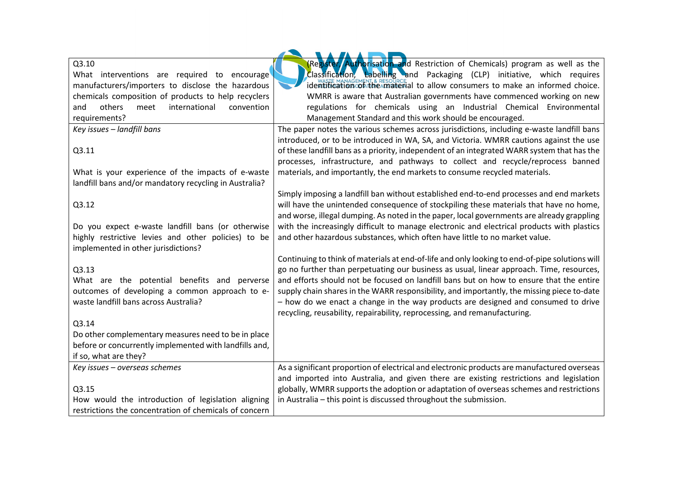| Q3.10                                                  | Register Authorisation and Restriction of Chemicals) program as well as the                    |
|--------------------------------------------------------|------------------------------------------------------------------------------------------------|
| What interventions are required to encourage           | Classification, Labelling and Packaging (CLP) initiative, which requires                       |
| manufacturers/importers to disclose the hazardous      | identification of the material to allow consumers to make an informed choice.                  |
| chemicals composition of products to help recyclers    | WMRR is aware that Australian governments have commenced working on new                        |
| others<br>international<br>meet<br>convention<br>and   | regulations for chemicals using an Industrial Chemical Environmental                           |
| requirements?                                          | Management Standard and this work should be encouraged.                                        |
| Key issues - landfill bans                             | The paper notes the various schemes across jurisdictions, including e-waste landfill bans      |
|                                                        | introduced, or to be introduced in WA, SA, and Victoria. WMRR cautions against the use         |
| Q3.11                                                  | of these landfill bans as a priority, independent of an integrated WARR system that has the    |
|                                                        | processes, infrastructure, and pathways to collect and recycle/reprocess banned                |
| What is your experience of the impacts of e-waste      | materials, and importantly, the end markets to consume recycled materials.                     |
| landfill bans and/or mandatory recycling in Australia? |                                                                                                |
|                                                        | Simply imposing a landfill ban without established end-to-end processes and end markets        |
| Q3.12                                                  | will have the unintended consequence of stockpiling these materials that have no home,         |
|                                                        | and worse, illegal dumping. As noted in the paper, local governments are already grappling     |
| Do you expect e-waste landfill bans (or otherwise      | with the increasingly difficult to manage electronic and electrical products with plastics     |
| highly restrictive levies and other policies) to be    | and other hazardous substances, which often have little to no market value.                    |
| implemented in other jurisdictions?                    |                                                                                                |
|                                                        | Continuing to think of materials at end-of-life and only looking to end-of-pipe solutions will |
| Q3.13                                                  | go no further than perpetuating our business as usual, linear approach. Time, resources,       |
| What are the potential benefits and perverse           | and efforts should not be focused on landfill bans but on how to ensure that the entire        |
| outcomes of developing a common approach to e-         | supply chain shares in the WARR responsibility, and importantly, the missing piece to-date     |
| waste landfill bans across Australia?                  | - how do we enact a change in the way products are designed and consumed to drive              |
|                                                        | recycling, reusability, repairability, reprocessing, and remanufacturing.                      |
| Q3.14                                                  |                                                                                                |
| Do other complementary measures need to be in place    |                                                                                                |
| before or concurrently implemented with landfills and, |                                                                                                |
| if so, what are they?                                  |                                                                                                |
| Key issues - overseas schemes                          | As a significant proportion of electrical and electronic products are manufactured overseas    |
|                                                        | and imported into Australia, and given there are existing restrictions and legislation         |
| Q3.15                                                  | globally, WMRR supports the adoption or adaptation of overseas schemes and restrictions        |
| How would the introduction of legislation aligning     | in Australia - this point is discussed throughout the submission.                              |
| restrictions the concentration of chemicals of concern |                                                                                                |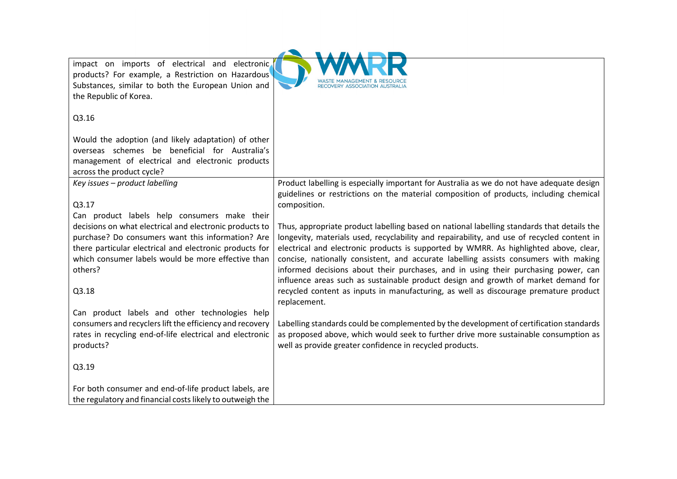| impact on imports of electrical and electronic.           |                                                                                                                                                                                 |
|-----------------------------------------------------------|---------------------------------------------------------------------------------------------------------------------------------------------------------------------------------|
| products? For example, a Restriction on Hazardous         |                                                                                                                                                                                 |
| Substances, similar to both the European Union and        | RECOVERY ASSOCIATION AUSTRALIA                                                                                                                                                  |
| the Republic of Korea.                                    |                                                                                                                                                                                 |
|                                                           |                                                                                                                                                                                 |
| Q3.16                                                     |                                                                                                                                                                                 |
|                                                           |                                                                                                                                                                                 |
| Would the adoption (and likely adaptation) of other       |                                                                                                                                                                                 |
| overseas schemes be beneficial for Australia's            |                                                                                                                                                                                 |
| management of electrical and electronic products          |                                                                                                                                                                                 |
| across the product cycle?                                 |                                                                                                                                                                                 |
| Key issues - product labelling                            | Product labelling is especially important for Australia as we do not have adequate design                                                                                       |
|                                                           | guidelines or restrictions on the material composition of products, including chemical                                                                                          |
| Q3.17                                                     | composition.                                                                                                                                                                    |
| Can product labels help consumers make their              |                                                                                                                                                                                 |
| decisions on what electrical and electronic products to   | Thus, appropriate product labelling based on national labelling standards that details the                                                                                      |
| purchase? Do consumers want this information? Are         | longevity, materials used, recyclability and repairability, and use of recycled content in                                                                                      |
| there particular electrical and electronic products for   | electrical and electronic products is supported by WMRR. As highlighted above, clear,                                                                                           |
| which consumer labels would be more effective than        | concise, nationally consistent, and accurate labelling assists consumers with making                                                                                            |
| others?                                                   | informed decisions about their purchases, and in using their purchasing power, can                                                                                              |
|                                                           | influence areas such as sustainable product design and growth of market demand for                                                                                              |
| Q3.18                                                     | recycled content as inputs in manufacturing, as well as discourage premature product                                                                                            |
|                                                           | replacement.                                                                                                                                                                    |
| Can product labels and other technologies help            |                                                                                                                                                                                 |
| consumers and recyclers lift the efficiency and recovery  | Labelling standards could be complemented by the development of certification standards<br>as proposed above, which would seek to further drive more sustainable consumption as |
| rates in recycling end-of-life electrical and electronic  |                                                                                                                                                                                 |
| products?                                                 | well as provide greater confidence in recycled products.                                                                                                                        |
| Q3.19                                                     |                                                                                                                                                                                 |
|                                                           |                                                                                                                                                                                 |
| For both consumer and end-of-life product labels, are     |                                                                                                                                                                                 |
| the regulatory and financial costs likely to outweigh the |                                                                                                                                                                                 |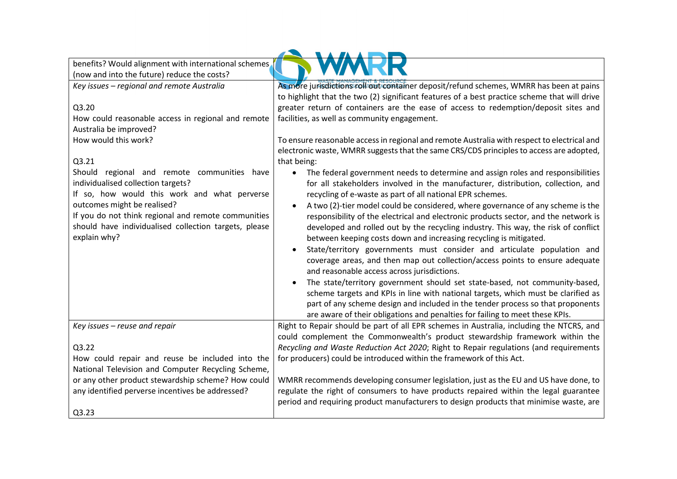| benefits? Would alignment with international schemes  |                                                                                                                                                                          |
|-------------------------------------------------------|--------------------------------------------------------------------------------------------------------------------------------------------------------------------------|
| (now and into the future) reduce the costs?           |                                                                                                                                                                          |
| Key issues - regional and remote Australia            | As more jurisdictions roll out container deposit/refund schemes, WMRR has been at pains                                                                                  |
|                                                       | to highlight that the two (2) significant features of a best practice scheme that will drive                                                                             |
| Q3.20                                                 | greater return of containers are the ease of access to redemption/deposit sites and                                                                                      |
| How could reasonable access in regional and remote    | facilities, as well as community engagement.                                                                                                                             |
| Australia be improved?                                |                                                                                                                                                                          |
| How would this work?                                  | To ensure reasonable access in regional and remote Australia with respect to electrical and                                                                              |
|                                                       | electronic waste, WMRR suggests that the same CRS/CDS principles to access are adopted,                                                                                  |
| Q3.21                                                 | that being:                                                                                                                                                              |
| Should regional and remote communities have           | The federal government needs to determine and assign roles and responsibilities<br>$\bullet$                                                                             |
| individualised collection targets?                    | for all stakeholders involved in the manufacturer, distribution, collection, and                                                                                         |
| If so, how would this work and what perverse          | recycling of e-waste as part of all national EPR schemes.                                                                                                                |
| outcomes might be realised?                           | A two (2)-tier model could be considered, where governance of any scheme is the                                                                                          |
| If you do not think regional and remote communities   | responsibility of the electrical and electronic products sector, and the network is                                                                                      |
| should have individualised collection targets, please | developed and rolled out by the recycling industry. This way, the risk of conflict                                                                                       |
| explain why?                                          | between keeping costs down and increasing recycling is mitigated.                                                                                                        |
|                                                       | State/territory governments must consider and articulate population and                                                                                                  |
|                                                       | coverage areas, and then map out collection/access points to ensure adequate                                                                                             |
|                                                       | and reasonable access across jurisdictions.                                                                                                                              |
|                                                       | The state/territory government should set state-based, not community-based,                                                                                              |
|                                                       | scheme targets and KPIs in line with national targets, which must be clarified as                                                                                        |
|                                                       | part of any scheme design and included in the tender process so that proponents                                                                                          |
|                                                       | are aware of their obligations and penalties for failing to meet these KPIs.                                                                                             |
| Key issues - reuse and repair                         | Right to Repair should be part of all EPR schemes in Australia, including the NTCRS, and<br>could complement the Commonwealth's product stewardship framework within the |
| Q3.22                                                 | Recycling and Waste Reduction Act 2020; Right to Repair regulations (and requirements                                                                                    |
| How could repair and reuse be included into the       | for producers) could be introduced within the framework of this Act.                                                                                                     |
| National Television and Computer Recycling Scheme,    |                                                                                                                                                                          |
| or any other product stewardship scheme? How could    | WMRR recommends developing consumer legislation, just as the EU and US have done, to                                                                                     |
| any identified perverse incentives be addressed?      | regulate the right of consumers to have products repaired within the legal guarantee                                                                                     |
|                                                       | period and requiring product manufacturers to design products that minimise waste, are                                                                                   |
| Q3.23                                                 |                                                                                                                                                                          |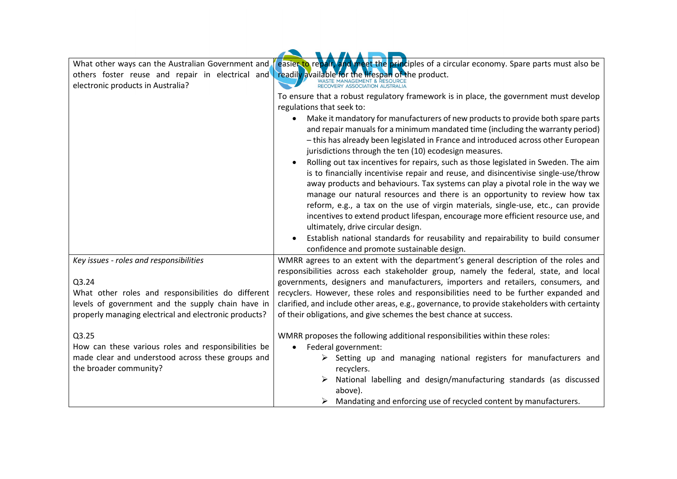| What other ways can the Australian Government and     | easier to repair, and meet the principles of a circular economy. Spare parts must also be        |
|-------------------------------------------------------|--------------------------------------------------------------------------------------------------|
| others foster reuse and repair in electrical and      | readily available for the lifespan of the product.                                               |
| electronic products in Australia?                     | WASTE MANAGEMENT & RESOURCE<br>RECOVERY ASSOCIATION AUSTRALIA                                    |
|                                                       | To ensure that a robust regulatory framework is in place, the government must develop            |
|                                                       | regulations that seek to:                                                                        |
|                                                       | Make it mandatory for manufacturers of new products to provide both spare parts<br>$\bullet$     |
|                                                       | and repair manuals for a minimum mandated time (including the warranty period)                   |
|                                                       | - this has already been legislated in France and introduced across other European                |
|                                                       | jurisdictions through the ten (10) ecodesign measures.                                           |
|                                                       | Rolling out tax incentives for repairs, such as those legislated in Sweden. The aim<br>$\bullet$ |
|                                                       | is to financially incentivise repair and reuse, and disincentivise single-use/throw              |
|                                                       | away products and behaviours. Tax systems can play a pivotal role in the way we                  |
|                                                       | manage our natural resources and there is an opportunity to review how tax                       |
|                                                       | reform, e.g., a tax on the use of virgin materials, single-use, etc., can provide                |
|                                                       | incentives to extend product lifespan, encourage more efficient resource use, and                |
|                                                       | ultimately, drive circular design.                                                               |
|                                                       | Establish national standards for reusability and repairability to build consumer                 |
|                                                       | confidence and promote sustainable design.                                                       |
| Key issues - roles and responsibilities               | WMRR agrees to an extent with the department's general description of the roles and              |
|                                                       | responsibilities across each stakeholder group, namely the federal, state, and local             |
| Q3.24                                                 | governments, designers and manufacturers, importers and retailers, consumers, and                |
| What other roles and responsibilities do different    | recyclers. However, these roles and responsibilities need to be further expanded and             |
| levels of government and the supply chain have in     | clarified, and include other areas, e.g., governance, to provide stakeholders with certainty     |
| properly managing electrical and electronic products? | of their obligations, and give schemes the best chance at success.                               |
| Q3.25                                                 | WMRR proposes the following additional responsibilities within these roles:                      |
| How can these various roles and responsibilities be   | Federal government:<br>$\bullet$                                                                 |
| made clear and understood across these groups and     | $\triangleright$ Setting up and managing national registers for manufacturers and                |
| the broader community?                                | recyclers.                                                                                       |
|                                                       | National labelling and design/manufacturing standards (as discussed                              |
|                                                       | above).                                                                                          |
|                                                       | Mandating and enforcing use of recycled content by manufacturers.                                |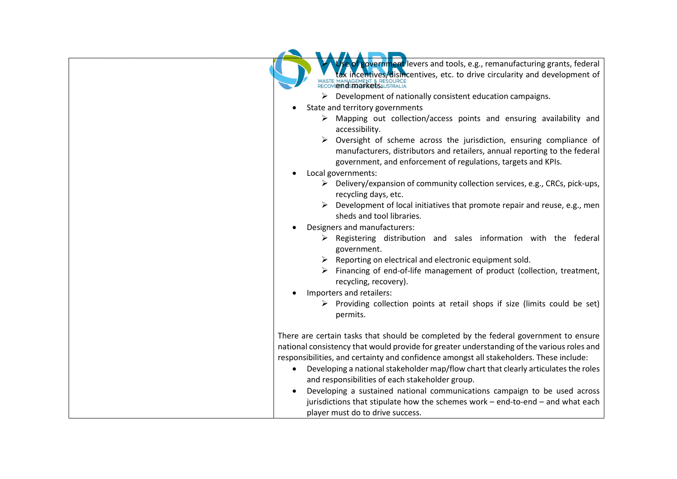| Jse of government levers and tools, e.g., remanufacturing grants, federal<br>tax incentives/disincentives, etc. to drive circularity and development of<br>RECOVERING SPORT & RESOURCE                                              |
|-------------------------------------------------------------------------------------------------------------------------------------------------------------------------------------------------------------------------------------|
| $\triangleright$ Development of nationally consistent education campaigns.                                                                                                                                                          |
| State and territory governments                                                                                                                                                                                                     |
| $\triangleright$ Mapping out collection/access points and ensuring availability and<br>accessibility.                                                                                                                               |
| $\triangleright$ Oversight of scheme across the jurisdiction, ensuring compliance of<br>manufacturers, distributors and retailers, annual reporting to the federal<br>government, and enforcement of regulations, targets and KPIs. |
| Local governments:<br>$\bullet$                                                                                                                                                                                                     |
| $\triangleright$ Delivery/expansion of community collection services, e.g., CRCs, pick-ups,<br>recycling days, etc.                                                                                                                 |
| $\triangleright$ Development of local initiatives that promote repair and reuse, e.g., men<br>sheds and tool libraries.                                                                                                             |
| Designers and manufacturers:                                                                                                                                                                                                        |
| $\triangleright$ Registering distribution and sales information with the federal<br>government.                                                                                                                                     |
| $\triangleright$ Reporting on electrical and electronic equipment sold.                                                                                                                                                             |
| > Financing of end-of-life management of product (collection, treatment,<br>recycling, recovery).                                                                                                                                   |
| Importers and retailers:                                                                                                                                                                                                            |
| > Providing collection points at retail shops if size (limits could be set)<br>permits.                                                                                                                                             |
| There are certain tasks that should be completed by the federal government to ensure                                                                                                                                                |
| national consistency that would provide for greater understanding of the various roles and                                                                                                                                          |
| responsibilities, and certainty and confidence amongst all stakeholders. These include:                                                                                                                                             |
| Developing a national stakeholder map/flow chart that clearly articulates the roles                                                                                                                                                 |
| and responsibilities of each stakeholder group.                                                                                                                                                                                     |
| Developing a sustained national communications campaign to be used across                                                                                                                                                           |
| jurisdictions that stipulate how the schemes work - end-to-end - and what each                                                                                                                                                      |
| player must do to drive success.                                                                                                                                                                                                    |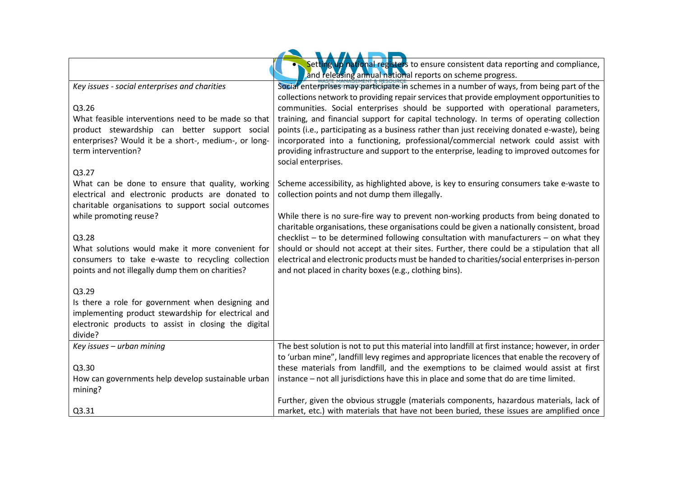|                                                                                                          | Setting up national registers to ensure consistent data reporting and compliance,<br>and releasing annual national reports on scheme progress.                                          |
|----------------------------------------------------------------------------------------------------------|-----------------------------------------------------------------------------------------------------------------------------------------------------------------------------------------|
| Key issues - social enterprises and charities                                                            | Social enterprises may participate in schemes in a number of ways, from being part of the                                                                                               |
|                                                                                                          | collections network to providing repair services that provide employment opportunities to                                                                                               |
| Q3.26<br>What feasible interventions need to be made so that                                             | communities. Social enterprises should be supported with operational parameters,<br>training, and financial support for capital technology. In terms of operating collection            |
| product stewardship can better support social                                                            | points (i.e., participating as a business rather than just receiving donated e-waste), being                                                                                            |
| enterprises? Would it be a short-, medium-, or long-                                                     | incorporated into a functioning, professional/commercial network could assist with                                                                                                      |
| term intervention?                                                                                       | providing infrastructure and support to the enterprise, leading to improved outcomes for                                                                                                |
| Q3.27                                                                                                    | social enterprises.                                                                                                                                                                     |
| What can be done to ensure that quality, working                                                         | Scheme accessibility, as highlighted above, is key to ensuring consumers take e-waste to                                                                                                |
| electrical and electronic products are donated to                                                        | collection points and not dump them illegally.                                                                                                                                          |
| charitable organisations to support social outcomes                                                      |                                                                                                                                                                                         |
| while promoting reuse?                                                                                   | While there is no sure-fire way to prevent non-working products from being donated to                                                                                                   |
|                                                                                                          | charitable organisations, these organisations could be given a nationally consistent, broad                                                                                             |
| Q3.28<br>What solutions would make it more convenient for                                                | $checklist - to be determined following$ consultation with manufacturers $-$ on what they<br>should or should not accept at their sites. Further, there could be a stipulation that all |
| consumers to take e-waste to recycling collection                                                        | electrical and electronic products must be handed to charities/social enterprises in-person                                                                                             |
| points and not illegally dump them on charities?                                                         | and not placed in charity boxes (e.g., clothing bins).                                                                                                                                  |
|                                                                                                          |                                                                                                                                                                                         |
| Q3.29                                                                                                    |                                                                                                                                                                                         |
| Is there a role for government when designing and<br>implementing product stewardship for electrical and |                                                                                                                                                                                         |
| electronic products to assist in closing the digital                                                     |                                                                                                                                                                                         |
| divide?                                                                                                  |                                                                                                                                                                                         |
| Key issues - urban mining                                                                                | The best solution is not to put this material into landfill at first instance; however, in order                                                                                        |
|                                                                                                          | to 'urban mine", landfill levy regimes and appropriate licences that enable the recovery of                                                                                             |
| Q3.30                                                                                                    | these materials from landfill, and the exemptions to be claimed would assist at first                                                                                                   |
| How can governments help develop sustainable urban                                                       | instance - not all jurisdictions have this in place and some that do are time limited.                                                                                                  |
| mining?                                                                                                  | Further, given the obvious struggle (materials components, hazardous materials, lack of                                                                                                 |
| Q3.31                                                                                                    | market, etc.) with materials that have not been buried, these issues are amplified once                                                                                                 |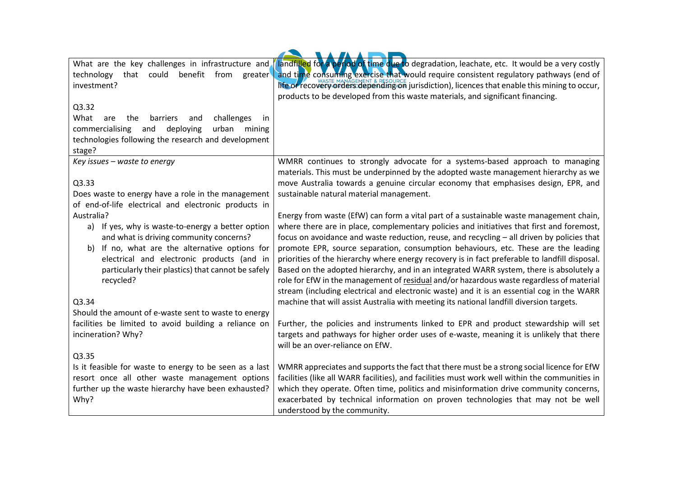| What are the key challenges in infrastructure and<br>technology that could benefit from<br>greater<br>investment? | landfilled for a period of time due to degradation, leachate, etc. It would be a very costly<br>and time consuming exercise that would require consistent regulatory pathways (end of<br>life or recovery orders depending on jurisdiction), licences that enable this mining to occur, |
|-------------------------------------------------------------------------------------------------------------------|-----------------------------------------------------------------------------------------------------------------------------------------------------------------------------------------------------------------------------------------------------------------------------------------|
|                                                                                                                   | products to be developed from this waste materials, and significant financing.                                                                                                                                                                                                          |
| Q3.32                                                                                                             |                                                                                                                                                                                                                                                                                         |
| challenges<br>What<br>barriers<br>are<br>the<br>and<br><sub>in</sub>                                              |                                                                                                                                                                                                                                                                                         |
| commercialising<br>urban<br>and<br>deploying<br>mining                                                            |                                                                                                                                                                                                                                                                                         |
| technologies following the research and development<br>stage?                                                     |                                                                                                                                                                                                                                                                                         |
| Key issues - waste to energy                                                                                      | WMRR continues to strongly advocate for a systems-based approach to managing                                                                                                                                                                                                            |
|                                                                                                                   | materials. This must be underpinned by the adopted waste management hierarchy as we                                                                                                                                                                                                     |
| Q3.33<br>Does waste to energy have a role in the management                                                       | move Australia towards a genuine circular economy that emphasises design, EPR, and<br>sustainable natural material management.                                                                                                                                                          |
| of end-of-life electrical and electronic products in                                                              |                                                                                                                                                                                                                                                                                         |
| Australia?                                                                                                        | Energy from waste (EfW) can form a vital part of a sustainable waste management chain,                                                                                                                                                                                                  |
| a) If yes, why is waste-to-energy a better option                                                                 | where there are in place, complementary policies and initiatives that first and foremost,                                                                                                                                                                                               |
| and what is driving community concerns?                                                                           | focus on avoidance and waste reduction, reuse, and recycling - all driven by policies that                                                                                                                                                                                              |
| If no, what are the alternative options for<br>b)                                                                 | promote EPR, source separation, consumption behaviours, etc. These are the leading                                                                                                                                                                                                      |
| electrical and electronic products (and in                                                                        | priorities of the hierarchy where energy recovery is in fact preferable to landfill disposal.                                                                                                                                                                                           |
| particularly their plastics) that cannot be safely                                                                | Based on the adopted hierarchy, and in an integrated WARR system, there is absolutely a                                                                                                                                                                                                 |
| recycled?                                                                                                         | role for EfW in the management of residual and/or hazardous waste regardless of material<br>stream (including electrical and electronic waste) and it is an essential cog in the WARR                                                                                                   |
| Q3.34                                                                                                             | machine that will assist Australia with meeting its national landfill diversion targets.                                                                                                                                                                                                |
| Should the amount of e-waste sent to waste to energy                                                              |                                                                                                                                                                                                                                                                                         |
| facilities be limited to avoid building a reliance on                                                             | Further, the policies and instruments linked to EPR and product stewardship will set                                                                                                                                                                                                    |
| incineration? Why?                                                                                                | targets and pathways for higher order uses of e-waste, meaning it is unlikely that there                                                                                                                                                                                                |
|                                                                                                                   | will be an over-reliance on EfW.                                                                                                                                                                                                                                                        |
| Q3.35                                                                                                             |                                                                                                                                                                                                                                                                                         |
| Is it feasible for waste to energy to be seen as a last                                                           | WMRR appreciates and supports the fact that there must be a strong social licence for EfW                                                                                                                                                                                               |
| resort once all other waste management options                                                                    | facilities (like all WARR facilities), and facilities must work well within the communities in<br>which they operate. Often time, politics and misinformation drive community concerns,                                                                                                 |
| further up the waste hierarchy have been exhausted?<br>Why?                                                       | exacerbated by technical information on proven technologies that may not be well                                                                                                                                                                                                        |
|                                                                                                                   | understood by the community.                                                                                                                                                                                                                                                            |